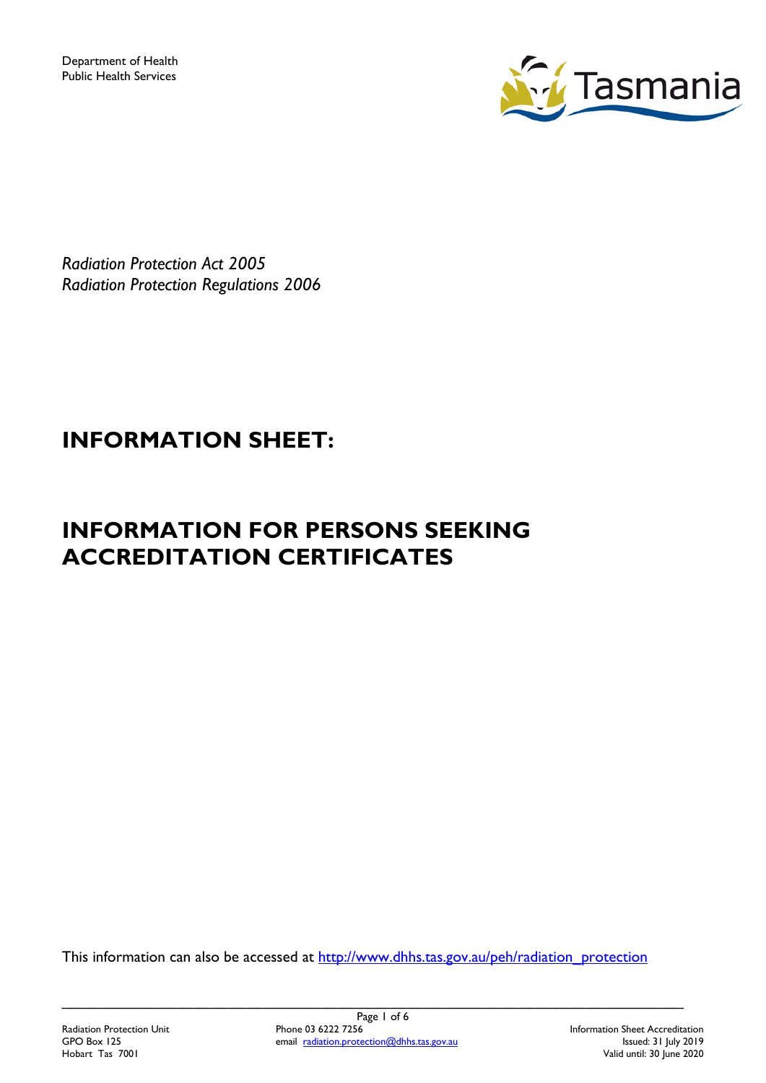

*Radiation Protection Act 2005 Radiation Protection Regulations 2006*

# **INFORMATION SHEET:**

# **INFORMATION FOR PERSONS SEEKING ACCREDITATION CERTIFICATES**

This information can also be accessed at [http://www.dhhs.tas.gov.au/peh/radiation\\_protection](http://www.dhhs.tas.gov.au/peh/radiation_protection)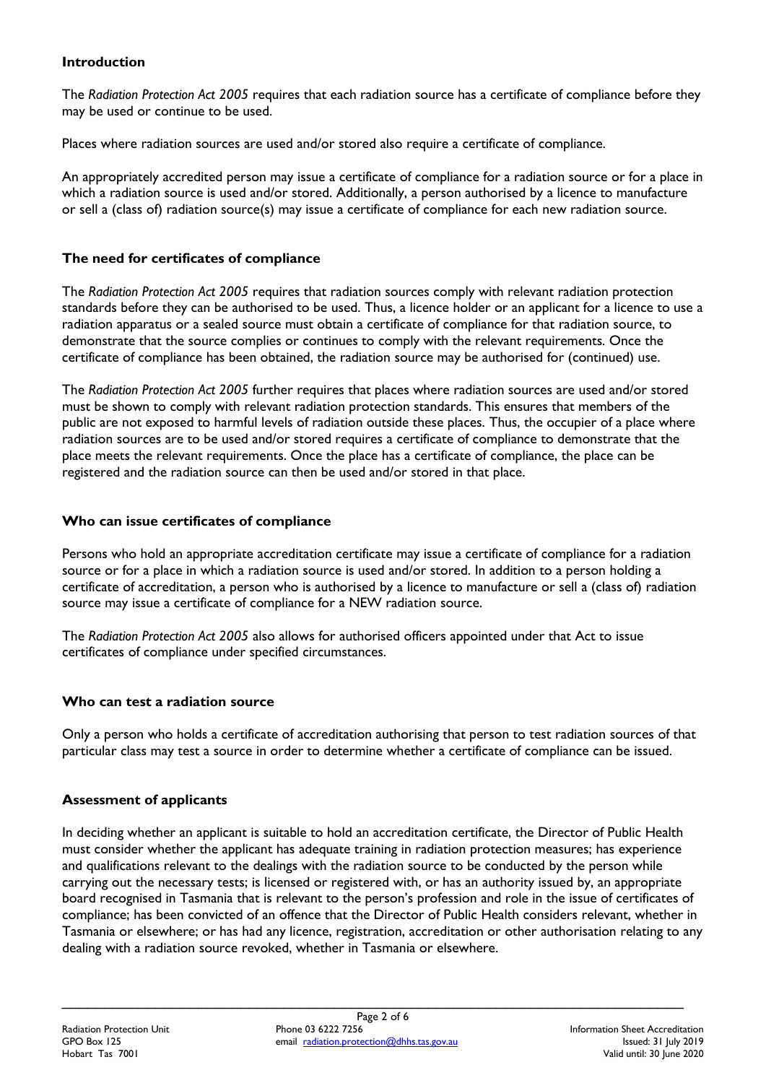## **Introduction**

The *Radiation Protection Act 2005* requires that each radiation source has a certificate of compliance before they may be used or continue to be used.

Places where radiation sources are used and/or stored also require a certificate of compliance.

An appropriately accredited person may issue a certificate of compliance for a radiation source or for a place in which a radiation source is used and/or stored. Additionally, a person authorised by a licence to manufacture or sell a (class of) radiation source(s) may issue a certificate of compliance for each new radiation source.

## **The need for certificates of compliance**

The *Radiation Protection Act 2005* requires that radiation sources comply with relevant radiation protection standards before they can be authorised to be used. Thus, a licence holder or an applicant for a licence to use a radiation apparatus or a sealed source must obtain a certificate of compliance for that radiation source, to demonstrate that the source complies or continues to comply with the relevant requirements. Once the certificate of compliance has been obtained, the radiation source may be authorised for (continued) use.

The *Radiation Protection Act 2005* further requires that places where radiation sources are used and/or stored must be shown to comply with relevant radiation protection standards. This ensures that members of the public are not exposed to harmful levels of radiation outside these places. Thus, the occupier of a place where radiation sources are to be used and/or stored requires a certificate of compliance to demonstrate that the place meets the relevant requirements. Once the place has a certificate of compliance, the place can be registered and the radiation source can then be used and/or stored in that place.

## **Who can issue certificates of compliance**

Persons who hold an appropriate accreditation certificate may issue a certificate of compliance for a radiation source or for a place in which a radiation source is used and/or stored. In addition to a person holding a certificate of accreditation, a person who is authorised by a licence to manufacture or sell a (class of) radiation source may issue a certificate of compliance for a NEW radiation source.

The *Radiation Protection Act 2005* also allows for authorised officers appointed under that Act to issue certificates of compliance under specified circumstances.

## **Who can test a radiation source**

Only a person who holds a certificate of accreditation authorising that person to test radiation sources of that particular class may test a source in order to determine whether a certificate of compliance can be issued.

## **Assessment of applicants**

In deciding whether an applicant is suitable to hold an accreditation certificate, the Director of Public Health must consider whether the applicant has adequate training in radiation protection measures; has experience and qualifications relevant to the dealings with the radiation source to be conducted by the person while carrying out the necessary tests; is licensed or registered with, or has an authority issued by, an appropriate board recognised in Tasmania that is relevant to the person's profession and role in the issue of certificates of compliance; has been convicted of an offence that the Director of Public Health considers relevant, whether in Tasmania or elsewhere; or has had any licence, registration, accreditation or other authorisation relating to any dealing with a radiation source revoked, whether in Tasmania or elsewhere.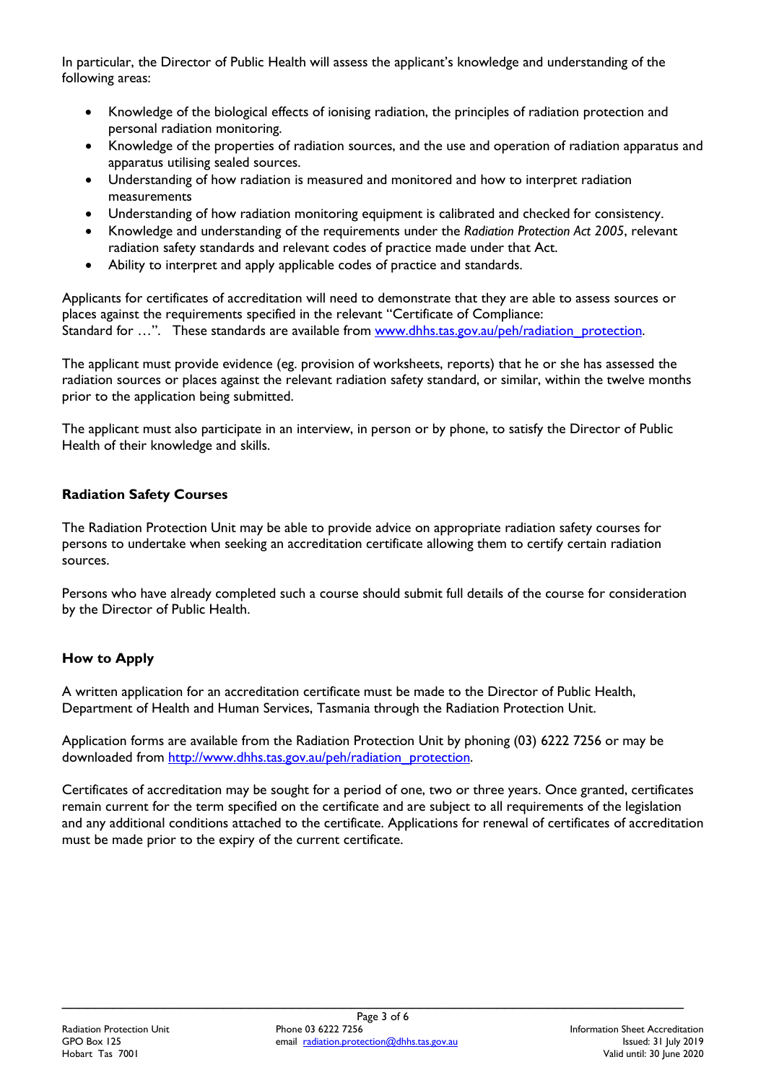In particular, the Director of Public Health will assess the applicant's knowledge and understanding of the following areas:

- Knowledge of the biological effects of ionising radiation, the principles of radiation protection and personal radiation monitoring.
- Knowledge of the properties of radiation sources, and the use and operation of radiation apparatus and apparatus utilising sealed sources.
- Understanding of how radiation is measured and monitored and how to interpret radiation measurements
- Understanding of how radiation monitoring equipment is calibrated and checked for consistency.
- Knowledge and understanding of the requirements under the *Radiation Protection Act 2005*, relevant radiation safety standards and relevant codes of practice made under that Act.
- Ability to interpret and apply applicable codes of practice and standards.

Applicants for certificates of accreditation will need to demonstrate that they are able to assess sources or places against the requirements specified in the relevant "Certificate of Compliance: Standard for ...". These standards are available from www.dhhs.tas.gov.au/peh/radiation\_protection.

The applicant must provide evidence (eg. provision of worksheets, reports) that he or she has assessed the radiation sources or places against the relevant radiation safety standard, or similar, within the twelve months prior to the application being submitted.

The applicant must also participate in an interview, in person or by phone, to satisfy the Director of Public Health of their knowledge and skills.

## **Radiation Safety Courses**

The Radiation Protection Unit may be able to provide advice on appropriate radiation safety courses for persons to undertake when seeking an accreditation certificate allowing them to certify certain radiation sources.

Persons who have already completed such a course should submit full details of the course for consideration by the Director of Public Health.

# **How to Apply**

A written application for an accreditation certificate must be made to the Director of Public Health, Department of Health and Human Services, Tasmania through the Radiation Protection Unit.

Application forms are available from the Radiation Protection Unit by phoning (03) 6222 7256 or may be downloaded from http://www.dhhs.tas.gov.au/peh/radiation\_protection.

Certificates of accreditation may be sought for a period of one, two or three years. Once granted, certificates remain current for the term specified on the certificate and are subject to all requirements of the legislation and any additional conditions attached to the certificate. Applications for renewal of certificates of accreditation must be made prior to the expiry of the current certificate.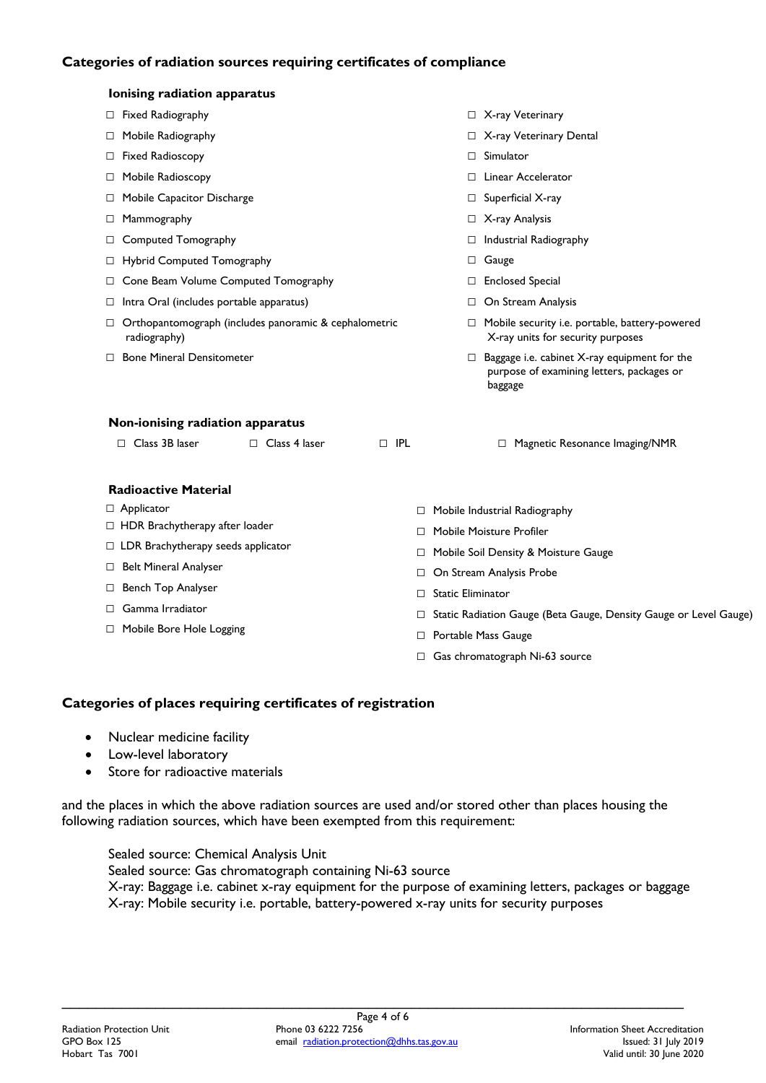## **Categories of radiation sources requiring certificates of compliance**

|                                  | Ionising radiation apparatus                                                     |                      |            |             |                                                                |                                                                                                      |  |
|----------------------------------|----------------------------------------------------------------------------------|----------------------|------------|-------------|----------------------------------------------------------------|------------------------------------------------------------------------------------------------------|--|
|                                  | $\Box$ Fixed Radiography                                                         |                      |            |             |                                                                | □ X-ray Veterinary                                                                                   |  |
| □                                | Mobile Radiography                                                               |                      |            |             |                                                                | □ X-ray Veterinary Dental                                                                            |  |
| □                                | <b>Fixed Radioscopy</b>                                                          |                      |            |             | $\Box$                                                         | Simulator                                                                                            |  |
| $\Box$                           | Mobile Radioscopy                                                                |                      |            |             | П.                                                             | Linear Accelerator                                                                                   |  |
| ⊔                                | Mobile Capacitor Discharge                                                       |                      |            |             | $\Box$                                                         | Superficial X-ray                                                                                    |  |
| ⊔                                | Mammography                                                                      |                      |            |             | $\Box$                                                         | X-ray Analysis                                                                                       |  |
| ⊔                                | Computed Tomography                                                              |                      |            |             | $\Box$                                                         | Industrial Radiography                                                                               |  |
| ⊔                                | Hybrid Computed Tomography                                                       |                      |            |             | □                                                              | Gauge                                                                                                |  |
| □                                | Cone Beam Volume Computed Tomography                                             |                      |            |             | $\Box$                                                         | <b>Enclosed Special</b>                                                                              |  |
|                                  | Intra Oral (includes portable apparatus)<br>⊔                                    |                      |            |             | □                                                              | On Stream Analysis                                                                                   |  |
| ⊔                                | Orthopantomograph (includes panoramic & cephalometric<br>radiography)            |                      |            |             | □                                                              | Mobile security i.e. portable, battery-powered<br>X-ray units for security purposes                  |  |
|                                  | □ Bone Mineral Densitometer                                                      |                      |            |             | $\Box$                                                         | Baggage i.e. cabinet X-ray equipment for the<br>purpose of examining letters, packages or<br>baggage |  |
| Non-ionising radiation apparatus |                                                                                  |                      |            |             |                                                                |                                                                                                      |  |
|                                  | $\Box$ Class 3B laser                                                            | $\Box$ Class 4 laser | $\Box$ IPL |             |                                                                | □ Magnetic Resonance Imaging/NMR                                                                     |  |
|                                  | <b>Radioactive Material</b>                                                      |                      |            |             |                                                                |                                                                                                      |  |
|                                  | $\Box$ Applicator                                                                |                      |            |             | Mobile Industrial Radiography<br>□                             |                                                                                                      |  |
|                                  | □ HDR Brachytherapy after loader                                                 |                      |            | П           | Mobile Moisture Profiler                                       |                                                                                                      |  |
|                                  | $\Box$ LDR Brachytherapy seeds applicator                                        |                      |            | ⊔           | Mobile Soil Density & Moisture Gauge                           |                                                                                                      |  |
|                                  | <b>Belt Mineral Analyser</b><br>ш<br>Bench Top Analyser<br>⊔<br>Gamma Irradiator |                      |            |             | On Stream Analysis Probe<br>□<br><b>Static Eliminator</b><br>□ |                                                                                                      |  |
|                                  |                                                                                  |                      |            |             |                                                                |                                                                                                      |  |
|                                  |                                                                                  |                      |            |             |                                                                | Static Radiation Gauge (Beta Gauge, Density Gauge or Level Gauge)                                    |  |
|                                  | □ Mobile Bore Hole Logging                                                       |                      |            | □<br>$\Box$ |                                                                | Portable Mass Gauge                                                                                  |  |
|                                  |                                                                                  |                      |            | □           | Gas chromatograph Ni-63 source                                 |                                                                                                      |  |
|                                  |                                                                                  |                      |            |             |                                                                |                                                                                                      |  |

## **Categories of places requiring certificates of registration**

- Nuclear medicine facility
- Low-level laboratory
- Store for radioactive materials

and the places in which the above radiation sources are used and/or stored other than places housing the following radiation sources, which have been exempted from this requirement:

Sealed source: Chemical Analysis Unit Sealed source: Gas chromatograph containing Ni-63 source X-ray: Baggage i.e. cabinet x-ray equipment for the purpose of examining letters, packages or baggage X-ray: Mobile security i.e. portable, battery-powered x-ray units for security purposes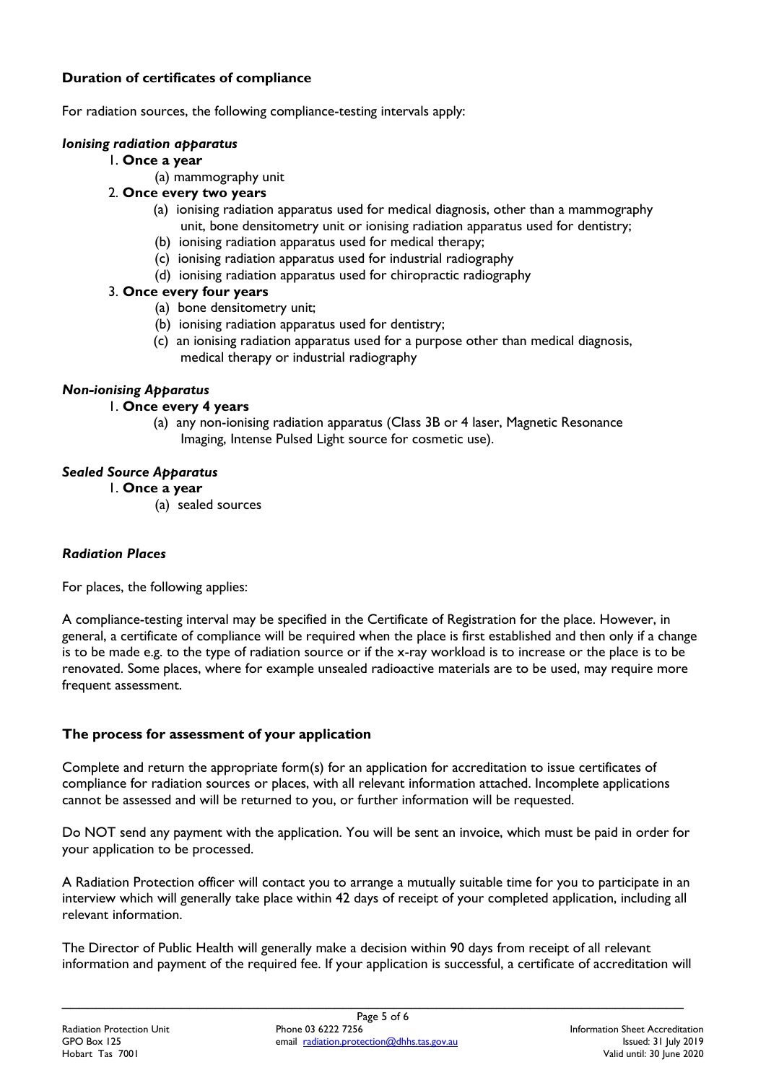## **Duration of certificates of compliance**

For radiation sources, the following compliance-testing intervals apply:

#### *Ionising radiation apparatus*

#### 1. **Once a year**

(a) mammography unit

## 2. **Once every two years**

- (a) ionising radiation apparatus used for medical diagnosis, other than a mammography unit, bone densitometry unit or ionising radiation apparatus used for dentistry;
- (b) ionising radiation apparatus used for medical therapy;
- (c) ionising radiation apparatus used for industrial radiography
- (d) ionising radiation apparatus used for chiropractic radiography

#### 3. **Once every four years**

- (a) bone densitometry unit;
- (b) ionising radiation apparatus used for dentistry;
- (c) an ionising radiation apparatus used for a purpose other than medical diagnosis, medical therapy or industrial radiography

## *Non-ionising Apparatus*

#### 1. **Once every 4 years**

(a) any non-ionising radiation apparatus (Class 3B or 4 laser, Magnetic Resonance Imaging, Intense Pulsed Light source for cosmetic use).

## *Sealed Source Apparatus*

- 1. **Once a year**
	- (a) sealed sources

## *Radiation Places*

For places, the following applies:

A compliance-testing interval may be specified in the Certificate of Registration for the place. However, in general, a certificate of compliance will be required when the place is first established and then only if a change is to be made e.g. to the type of radiation source or if the x-ray workload is to increase or the place is to be renovated. Some places, where for example unsealed radioactive materials are to be used, may require more frequent assessment.

## **The process for assessment of your application**

Complete and return the appropriate form(s) for an application for accreditation to issue certificates of compliance for radiation sources or places, with all relevant information attached. Incomplete applications cannot be assessed and will be returned to you, or further information will be requested.

Do NOT send any payment with the application. You will be sent an invoice, which must be paid in order for your application to be processed.

A Radiation Protection officer will contact you to arrange a mutually suitable time for you to participate in an interview which will generally take place within 42 days of receipt of your completed application, including all relevant information.

The Director of Public Health will generally make a decision within 90 days from receipt of all relevant information and payment of the required fee. If your application is successful, a certificate of accreditation will